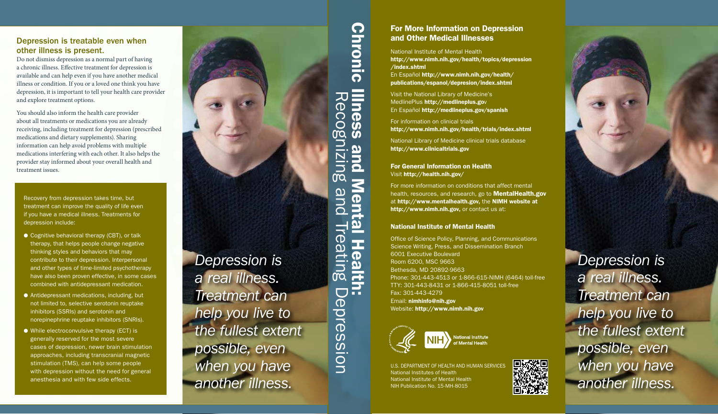### Depression is treatable even when other illness is present.

Do not dismiss depression as a normal part of having a chronic illness. Effective treatment for depression is available and can help even if you have another medical illness or condition. If you or a loved one think you have depression, it is important to tell your health care provider and explore treatment options.

You should also inform the health care provider about all treatments or medications you are already receiving, including treatment for depression (prescribed medications and dietary supplements). Sharing information can help avoid problems with multiple medications interfering with each other. It also helps the provider stay informed about your overall health and treatment issues.

Recovery from depression takes time, but treatment can improve the quality of life even if you have a medical illness. Treatments for depression include:

- Cognitive behavioral therapy (CBT), or talk therapy, that helps people change negative thinking styles and behaviors that may contribute to their depression. Interpersonal and other types of time-limited psychotherapy have also been proven effective, in some cases combined with antidepressant medication.
- Antidepressant medications, including, but not limited to, selective serotonin reuptake inhibitors (SSRIs) and serotonin and norepinephrine reuptake inhibitors (SNRIs).
- While electroconvulsive therapy (ECT) is generally reserved for the most severe cases of depression, newer brain stimulation approaches, including [transcranial magnetic](http://www.nimh.nih.gov/health/topics/brain-stimulation-therapies/brain-stimulation-therapies.shtml)  [stimulation](http://www.nimh.nih.gov/health/topics/brain-stimulation-therapies/brain-stimulation-therapies.shtml) (TMS), can help some people with depression without the need for general anesthesia and with few side effects.

# *Depression is a real illness. Treatment can help you live to the fullest extent possible, even when you have another illness.*

# For More Information on Depression and Other Medical Illnesses

National Institute of Mental Health [http://www.nimh.nih.gov/health/topics/depression](http://www.nimh.nih.gov/health/topics/depression/index.shtml) [/index.shtml](http://www.nimh.nih.gov/health/topics/depression/index.shtml)

En Español [http://www.nimh.nih.gov/health/](http://www.nimh.nih.gov/health/publications/espanol/depresion/index.shtml) [publications/espanol/depresion/index.shtml](http://www.nimh.nih.gov/health/publications/espanol/depresion/index.shtml)

Visit the National Library of Medicine's MedlinePlus [http://medlineplus.go](http://medlineplus.gov)v En Español <http://medlineplus.gov/spanish>

For information on clinical trials <http://www.nimh.nih.gov/health/trials/index.shtml>

National Library of Medicine clinical trials database <http://www.clinicaltrials.gov>

For General Information on Health Visit <http://health.nih.gov/>

Chronic Illness and Mental Health:

and

Ment

 $\overline{\mathbf{z}}$ 

**Healt** 

P

**Ilness** 

Reco

OŎ

UIZIU

m

oue

**Chronic** 

Recognizing and Treating Depression

Treating

 $\Box$ 

epressior

For more information on conditions that affect mental health, resources, and research, go to **MentalHealth.gov** at [http://www.mentalhealth.gov,](http://www.mentalhealth.gov) the NIMH website at [http://www.nimh.nih.gov,](http://www.nimh.nih.gov) or contact us at:

#### National Institute of Mental Health

Office of Science Policy, Planning, and Communications Science Writing, Press, and Dissemination Branch 6001 Executive Boulevard Room 6200, MSC 9663 Bethesda, MD 20892-9663 Phone: 301-443-4513 or 1-866-615-NIMH (6464) toll-free TTY: 301-443-8431 or 1-866-415-8051 toll-free Fax: 301-443-4279 Email: [nimhinfo@nih.gov](mailto:nimhinfo@nih.gov) Website: [http://www.nimh.nih.gov](http://www.nimh.nih.gov/)



U.S. DEPARTMENT OF HEALTH AND HUMAN SERVICES National Institutes of Health National Institute of Mental Health NIH Publication No. 15-MH-8015

*Depression is a real illness. Treatment can help you live to the fullest extent possible, even when you have another illness.*